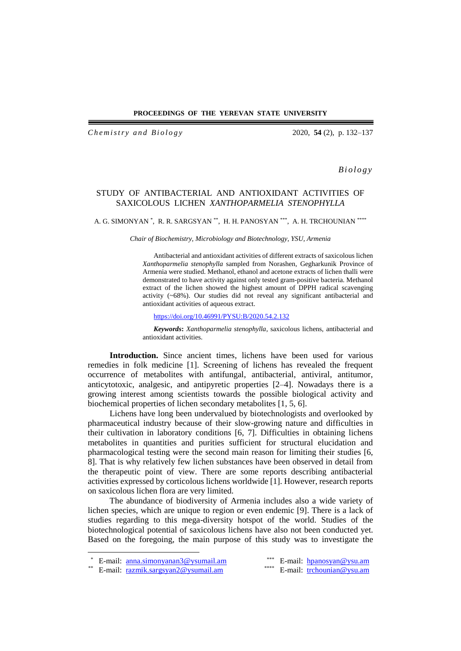### **PROCEEDINGS OF THE YEREVAN STATE UNIVERSITY**

*C h e m i s t r y a n d B i o l o g y* 2020, **54** (2), p. 132–137

*B i o l o g y*

## STUDY OF ANTIBACTERIAL AND ANTIOXIDANT ACTIVITIES OF SAXICOLOUS LICHEN *XANTHOPARMELIA STENOPHYLLA*

A. G. SIMONYAN \* , R. R. SARGSYAN \*\*, H. H. PANOSYAN \*\*\*, A. H. TRCHOUNIAN \*\*\*\*

*Chair of Biochemistry, Microbiology and Biotechnology, YSU, Armenia*

Antibacterial and antioxidant activities of different extracts of saxicolous lichen *Xanthoparmelia stenophylla* sampled from Norashen, Gegharkunik Province of Armenia were studied. Methanol, ethanol and acetone extracts of lichen thalli were demonstrated to have activity against only tested gram-positive bacteria. Methanol extract of the lichen showed the highest amount of DPPH radical scavenging activity (~68%). Our studies did not reveal any significant antibacterial and antioxidant activities of aqueous extract.

<https://doi.org/10.46991/PYSU:B/2020.54.2.132>

*Keywords***:** *Xanthoparmelia stenophylla*, saxicolous lichens, antibacterial and antioxidant activities.

**Introduction.** Since ancient times, lichens have been used for various remedies in folk medicine [1]. Screening of lichens has revealed the frequent occurrence of metabolites with antifungal, antibacterial, antiviral, antitumor, anticytotoxic, analgesic, and antipyretic properties [2–4]. Nowadays there is a growing interest among scientists towards the possible biological activity and biochemical properties of lichen secondary metabolites [1, 5, 6].

Lichens have long been undervalued by biotechnologists and overlooked by pharmaceutical industry because of their slow-growing nature and difficulties in their cultivation in laboratory conditions [6, 7]. Difficulties in obtaining lichens metabolites in quantities and purities sufficient for structural elucidation and pharmacological testing were the second main reason for limiting their studies [6, 8]. That is why relatively few lichen substances have been observed in detail from the therapeutic point of view. There are some reports describing antibacterial activities expressed by corticolous lichens worldwide [1]. However, research reports on saxicolous lichen flora are very limited.

The abundance of biodiversity of Armenia includes also a wide variety of lichen species, which are unique to region or even endemic [9]. There is a lack of studies regarding to this mega-diversity hotspot of the world. Studies of the biotechnological potential of saxicolous lichens have also not been conducted yet. Based on the foregoing, the main purpose of this study was to investigate the

 $\overline{a}$ 

E-mail: <u>[anna.simonyanan3@ysumail.am](mailto:anna.simonyanan3@ysumail.am)</u> <br>
E-mail: [hpanosyan@ysu.am](mailto:hpanosyan@ysu.am) <br>
E-mail: https://example.org/values/head/watch?values/head/watch?values/head/watch?values/head/watch?values/head/<br>
E-mail: https://en.com/mail/mail/mail/mai

<sup>\*\*</sup> E-mail: [razmik.sargsyan2@ysumail.am](mailto:razmik.sargsyan2@ysumail.am)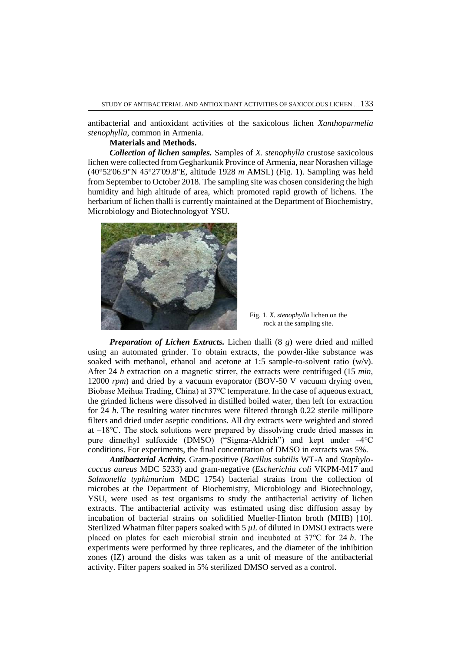antibacterial and antioxidant activities of the saxicolous lichen *Xanthoparmelia stenophylla*, common in Armenia.

### **Materials and Methods.**

*Collection of lichen samples.* Samples of *X. stenophylla* crustose saxicolous lichen were collected from Gegharkunik Province of Armenia, near Norashen village (40°52'06.9"N 45°27'09.8"E, altitude 1928 *m* AMSL) (Fig. 1). Sampling was held from September to October 2018. The sampling site was chosen considering the high humidity and high altitude of area, which promoted rapid growth of lichens. The herbarium of lichen thalli is currently maintained at the Department of Biochemistry, Microbiology and Biotechnologyof YSU.



Fig. 1. *X. stenophylla* lichen on the rock at the sampling site.

*Preparation of Lichen Extracts.* Lichen thalli (8 *g*) were dried and milled using an automated grinder. To obtain extracts, the powder-like substance was soaked with methanol, ethanol and acetone at 1:5 sample-to-solvent ratio  $(w/v)$ . After 24 *h* extraction on a magnetic stirrer, the extracts were centrifuged (15 *min*, 12000 *rpm*) and dried by a vacuum evaporator (BOV-50 V vacuum drying oven, Biobase Meihua Trading, China) at 37℃ temperature. In the case of aqueous extract, the grinded lichens were dissolved in distilled boiled water, then left for extraction for 24 *h*. The resulting water tinctures were filtered through 0.22 sterile millipore filters and dried under aseptic conditions. All dry extracts were weighted and stored at –18℃. The stock solutions were prepared by dissolving crude dried masses in pure dimethyl sulfoxide (DMSO) ("Sigma-Aldrich") and kept under –4℃ conditions. For experiments, the final concentration of DMSO in extracts was 5%.

*Antibacterial Activity.* Gram-positive (*Bacillus subtilis* WT-A and *Staphylococcus aureus* MDC 5233) and gram-negative (*Escherichia coli* VKPM-M17 and *Salmonella typhimurium* MDC 1754) bacterial strains from the collection of microbes at the Department of Biochemistry, Microbiology and Biotechnology, YSU, were used as test organisms to study the antibacterial activity of lichen extracts. The antibacterial activity was estimated using disc diffusion assay by incubation of bacterial strains on solidified Mueller-Hinton broth (MHB) [10]. Sterilized Whatman filter papers soaked with  $5 \mu L$  of diluted in DMSO extracts were placed on plates for each microbial strain and incubated at 37℃ for 24 *h*. The experiments were performed by three replicates, and the diameter of the inhibition zones (IZ) around the disks was taken as a unit of measure of the antibacterial activity. Filter papers soaked in 5% sterilized DMSO served as a control.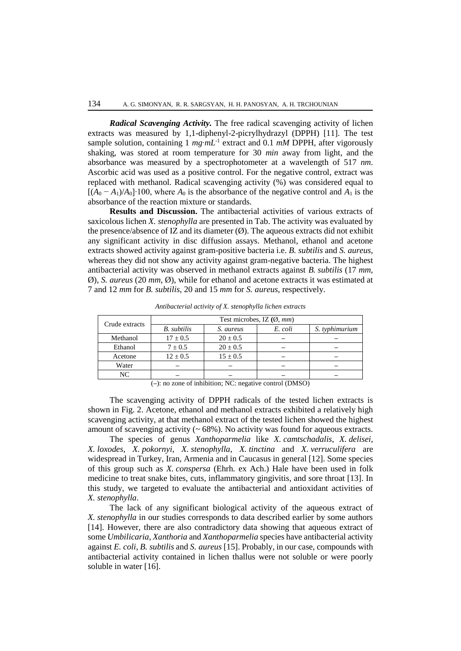*Radical Scavenging Activity.* The free radical scavenging activity of lichen extracts was measured by 1,1-diphenyl-2-picrylhydrazyl (DPPH) [11]. The test sample solution, containing  $1 \, mg \cdot mL^{-1}$  extract and  $0.1 \, mM$  DPPH, after vigorously shaking, was stored at room temperature for 30 *min* away from light, and the absorbance was measured by a spectrophotometer at a wavelength of 517 *nm*. Ascorbic acid was used as a positive control. For the negative control, extract was replaced with methanol. Radical scavenging activity (%) was considered equal to  $[(A_0 - A_1)/A_0] \cdot 100$ , where  $A_0$  is the absorbance of the negative control and  $A_1$  is the absorbance of the reaction mixture or standards.

**Results and Discussion.** The antibacterial activities of various extracts of saxicolous lichen *X. stenophylla* are presented in Tab. The activity was evaluated by the presence/absence of IZ and its diameter  $(\emptyset)$ . The aqueous extracts did not exhibit any significant activity in disc diffusion assays. Methanol, ethanol and acetone extracts showed activity against gram-positive bacteria i.e. *B. subtilis* and *S. aureus*, whereas they did not show any activity against gram-negative bacteria. The highest antibacterial activity was observed in methanol extracts against *B. subtilis* (17 *mm*, Ø), *S. aureus* (20 *mm*, Ø), while for ethanol and acetone extracts it was estimated at 7 and 12 *mm* for *B. subtilis*, 20 and 15 *mm* for *S. aureus*, respectively.

| Crude extracts | Test microbes, IZ $(\emptyset, \textit{mm})$ |              |         |                |
|----------------|----------------------------------------------|--------------|---------|----------------|
|                | <b>B.</b> subtilis                           | S. aureus    | E. coli | S. typhimurium |
| Methanol       | $17 \pm 0.5$                                 | $20 \pm 0.5$ |         |                |
| Ethanol        | $7 \pm 0.5$                                  | $20 \pm 0.5$ |         |                |
| Acetone        | $12 \pm 0.5$                                 | $15 \pm 0.5$ |         |                |
| Water          |                                              |              |         |                |
| NC             |                                              |              |         |                |

*Antibacterial activity of X. stenophylla lichen extracts*

(**–**): no zone of inhibition; NC: negative control (DMSO)

The scavenging activity of DPPH radicals of the tested lichen extracts is shown in Fig. 2. Acetone, ethanol and methanol extracts exhibited a relatively high scavenging activity, at that methanol extract of the tested lichen showed the highest amount of scavenging activity  $(~68\%)$ . No activity was found for aqueous extracts.

The species of genus *Xanthoparmelia* like *X. camtschadalis*, *X. delisei*, *X. loxodes*, *X. pokornyi*, *X. stenophylla*, *X. tinctina* and *X. verruculifera* are widespread in Turkey, Iran, Armenia and in Caucasus in general [12]. Some species of this group such as *X. conspersa* (Ehrh. ex Ach.) Hale have been used in folk medicine to treat snake bites, cuts, inflammatory gingivitis, and sore throat [13]. In this study, we targeted to evaluate the antibacterial and antioxidant activities of *X. stenophylla*.

The lack of any significant biological activity of the aqueous extract of *X. stenophylla* in our studies corresponds to data described earlier by some authors [14]. However, there are also contradictory data showing that aqueous extract of some *Umbilicaria*, *Xanthoria* and *Xanthoparmelia* species have antibacterial activity against *E. coli*, *B. subtilis* and *S. aureus* [15]. Probably, in our case, compounds with antibacterial activity contained in lichen thallus were not soluble or were poorly soluble in water [16].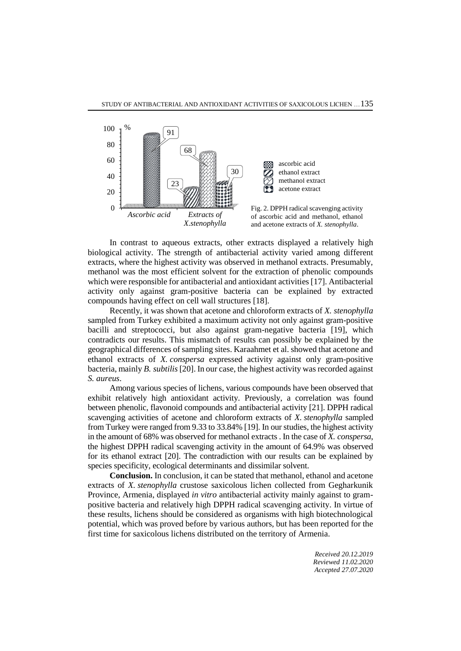

In contrast to aqueous extracts, other extracts displayed a relatively high biological activity. The strength of antibacterial activity varied among different extracts, where the highest activity was observed in methanol extracts. Presumably, methanol was the most efficient solvent for the extraction of phenolic compounds which were responsible for antibacterial and antioxidant activities [17]. Antibacterial activity only against gram-positive bacteria can be explained by extracted compounds having effect on cell wall structures [18].

Recently, it was shown that acetone and chloroform extracts of *X. stenophylla* sampled from Turkey exhibited a maximum activity not only against gram-positive bacilli and streptococci, but also against gram-negative bacteria [19], which contradicts our results. This mismatch of results can possibly be explained by the geographical differences of sampling sites. Karaahmet et al. showed that acetone and ethanol extracts of *X. conspersa* expressed activity against only gram-positive bacteria, mainly *B. subtilis*[20]. In our case, the highest activity was recorded against *S. aureus*.

Among various species of lichens, various compounds have been observed that exhibit relatively high antioxidant activity. Previously, a correlation was found between phenolic, flavonoid compounds and antibacterial activity [21]. DPPH radical scavenging activities of acetone and chloroform extracts of *X. stenophylla* sampled from Turkey were ranged from 9.33 to 33.84% [19]. In our studies, the highest activity in the amount of 68% was observed for methanol extracts . In the case of *X. conspersa*, the highest DPPH radical scavenging activity in the amount of 64.9% was observed for its ethanol extract [20]. The contradiction with our results can be explained by species specificity, ecological determinants and dissimilar solvent.

**Conclusion.** In conclusion, it can be stated that methanol, ethanol and acetone extracts of *X. stenophylla* crustose saxicolous lichen collected from Gegharkunik Province, Armenia, displayed *in vitro* antibacterial activity mainly against to grampositive bacteria and relatively high DPPH radical scavenging activity. In virtue of these results, lichens should be considered as organisms with high biotechnological potential, which was proved before by various authors, but has been reported for the first time for saxicolous lichens distributed on the territory of Armenia.

> *Received 20.12.2019 Reviewed 11.02.2020 Accepted 27.07.2020*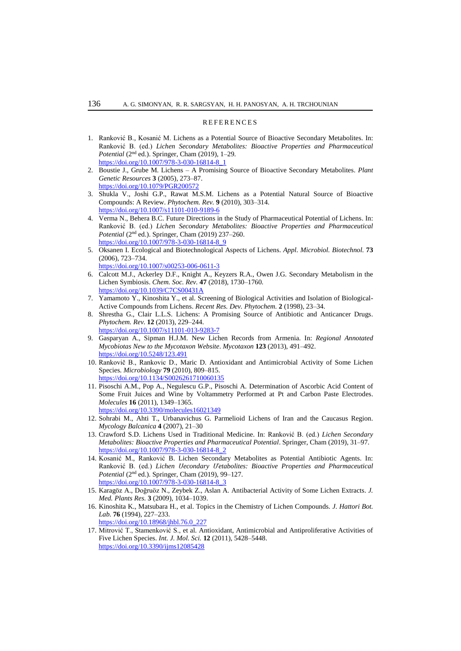#### **REFERENCES**

- 1. Ranković B., Kosanić M. Lichens as a Potential Source of Bioactive Secondary Metabolites. In: Ranković B. (ed.) *Lichen Secondary Metabolites: Bioactive Properties and Pharmaceutical Potential* (2nd ed.). Springer, Cham (2019), 1–29. [https://doi.org/10.1007/978-3-030-16814-8\\_1](https://doi.org/10.1007/978-3-030-16814-8_1)
- 2. Boustie J., Grube M. Lichens A Promising Source of Bioactive Secondary Metabolites. *Plant Genetic Resources* **3** (2005), 273–87. <https://doi.org/10.1079/PGR200572>
- 3. Shukla V., Joshi G.P., Rawat M.S.M. Lichens as a Potential Natural Source of Bioactive Compounds: A Review. *Phytochem. Rev.* **9** (2010), 303–314. <https://doi.org/10.1007/s11101-010-9189-6>
- 4. Verma N., Behera B.C. Future Directions in the Study of Pharmaceutical Potential of Lichens. In: Ranković B. (ed.) *Lichen Secondary Metabolites: Bioactive Properties and Pharmaceutical*  Potential (2<sup>nd</sup> ed.). Springer, Cham (2019) 237–260. [https://doi.org/10.1007/978-3-030-16814-8\\_9](https://doi.org/10.1007/978-3-030-16814-8_9)
- 5. Oksanen I. Ecological and Biotechnological Aspects of Lichens. *Appl. Microbiol. Biotechnol.* **73** (2006), 723–734. <https://doi.org/10.1007/s00253-006-0611-3>
- 6. Calcott M.J., Ackerley D.F., Knight A., Keyzers R.A., Owen J.G. Secondary Metabolism in the Lichen Symbiosis. *Chem. Soc. Rev.* **47** (2018), 1730–1760. <https://doi.org/10.1039/C7CS00431A>
- 7. Yamamoto Y., Kinoshita Y., et al. Screening of Biological Activities and Isolation of Biological-Active Compounds from Lichens. *Recent Res. Dev. Phytochem.* **2** (1998), 23–34.
- 8. Shrestha G., Clair L.L.S. Lichens: A Promising Source of Antibiotic and Anticancer Drugs. *Phytochem. Rev.* **12** (2013), 229–244.
	- <https://doi.org/10.1007/s11101-013-9283-7>
- 9. Gasparyan A., Sipman H.J.M. New Lichen Records from Armenia. In: *Regional Annotated Mycobiotas New to the Mycotaxon Website*. *Mycotaxon* **123** (2013), 491–492. <https://doi.org/10.5248/123.491>
- 10. Rankovič B., Rankovic D., Maric D. Antioxidant and Antimicrobial Activity of Some Lichen Species. *Microbiology* **79** (2010), 809–815. <https://doi.org/10.1134/S0026261710060135>
- 11. Pisoschi A.M., Pop A., Negulescu G.P., Pisoschi A. Determination of Ascorbic Acid Content of Some Fruit Juices and Wine by Voltammetry Performed at Pt and Carbon Paste Electrodes. *Molecules* **16** (2011), 1349–1365.
- <https://doi.org/10.3390/molecules16021349>
- 12. Sohrabi M., Ahti T., Urbanavichus G. Parmelioid Lichens of Iran and the Caucasus Region. *Mycology Balcanica* **4** (2007), 21–30
- 13. Crawford S.D. Lichens Used in Traditional Medicine. In: Ranković B. (ed.) *Lichen Secondary Metabolites: Bioactive Properties and Pharmaceutical Potential*. Springer, Cham (2019), 31–97. [https://doi.org/10.1007/978-3-030-16814-8\\_2](https://doi.org/10.1007/978-3-030-16814-8_2)
- 14. Kosanić M., Ranković B. Lichen Secondary Metabolites as Potential Antibiotic Agents. In: Ranković B. (ed.) *Lichen Սecondary Մetabolites: Bioactive Properties and Pharmaceutical Potential* (2nd ed.). Springer, Cham (2019), 99–127. [https://doi.org/10.1007/978-3-030-16814-8\\_3](https://doi.org/10.1007/978-3-030-16814-8_3)
- 15. Karagöz A., Doğruöz N., Zeybek Z., Aslan A. Antibacterial Activity of Some Lichen Extracts. *J. Med. Plants Res.* **3** (2009), 1034–1039.
- 16. Kinoshita K., Matsubara H., et al. Topics in the Chemistry of Lichen Compounds. *J. Hattori Bot. Lab.* **76** (1994), 227–233.
	- [https://doi.org/10.18968/jhbl.76.0\\_227](https://doi.org/10.18968/jhbl.76.0_227)
- 17. Mitrović T., Stamenković S., et al. Antioxidant, Antimicrobial and Antiproliferative Activities of Five Lichen Species. *Int. J. Mol. Sci.* **12** (2011), 5428–5448. <https://doi.org/10.3390/ijms12085428>